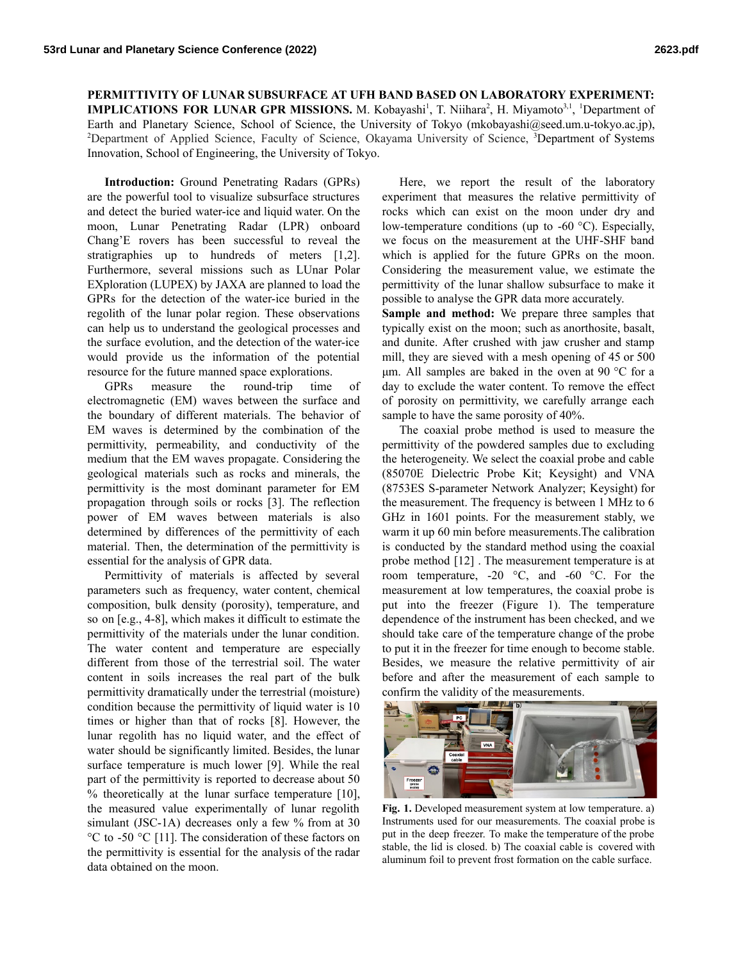## **PERMITTIVITY OF LUNAR SUBSURFACE AT UFH BAND BASED ON LABORATORY EXPERIMENT: IMPLICATIONS FOR LUNAR GPR MISSIONS.** M. Kobayashi<sup>1</sup>, T. Niihara<sup>2</sup>, H. Miyamoto<sup>3,1</sup>, <sup>1</sup>Department of

Earth and Planetary Science, School of Science, the University of Tokyo (mkobayashi@seed.um.u-tokyo.ac.jp), <sup>2</sup>Department of Applied Science, Faculty of Science, Okayama University of Science, <sup>3</sup>Department of Systems Innovation, School of Engineering, the University of Tokyo.

**Introduction:** Ground Penetrating Radars (GPRs) are the powerful tool to visualize subsurface structures and detect the buried water-ice and liquid water. On the moon, Lunar Penetrating Radar (LPR) onboard Chang'E rovers has been successful to reveal the stratigraphies up to hundreds of meters [1,2]. Furthermore, several missions such as LUnar Polar EXploration (LUPEX) by JAXA are planned to load the GPRs for the detection of the water-ice buried in the regolith of the lunar polar region. These observations can help us to understand the geological processes and the surface evolution, and the detection of the water-ice would provide us the information of the potential resource for the future manned space explorations.

GPRs measure the round-trip time of electromagnetic (EM) waves between the surface and the boundary of different materials. The behavior of EM waves is determined by the combination of the permittivity, permeability, and conductivity of the medium that the EM waves propagate. Considering the geological materials such as rocks and minerals, the permittivity is the most dominant parameter for EM propagation through soils or rocks [3]. The reflection power of EM waves between materials is also determined by differences of the permittivity of each material. Then, the determination of the permittivity is essential for the analysis of GPR data.

Permittivity of materials is affected by several parameters such as frequency, water content, chemical composition, bulk density (porosity), temperature, and so on [e.g., 4-8], which makes it difficult to estimate the permittivity of the materials under the lunar condition. The water content and temperature are especially different from those of the terrestrial soil. The water content in soils increases the real part of the bulk permittivity dramatically under the terrestrial (moisture) condition because the permittivity of liquid water is 10 times or higher than that of rocks [8]. However, the lunar regolith has no liquid water, and the effect of water should be significantly limited. Besides, the lunar surface temperature is much lower [9]. While the real part of the permittivity is reported to decrease about 50 % theoretically at the lunar surface temperature [10], the measured value experimentally of lunar regolith simulant (JSC-1A) decreases only a few % from at 30 °C to -50 °C [11]. The consideration of these factors on the permittivity is essential for the analysis of the radar data obtained on the moon.

Here, we report the result of the laboratory experiment that measures the relative permittivity of rocks which can exist on the moon under dry and low-temperature conditions (up to -60 °C). Especially, we focus on the measurement at the UHF-SHF band which is applied for the future GPRs on the moon. Considering the measurement value, we estimate the permittivity of the lunar shallow subsurface to make it possible to analyse the GPR data more accurately.

**Sample and method:** We prepare three samples that typically exist on the moon; such as anorthosite, basalt, and dunite. After crushed with jaw crusher and stamp mill, they are sieved with a mesh opening of 45 or 500 μm. All samples are baked in the oven at 90 °C for a day to exclude the water content. To remove the effect of porosity on permittivity, we carefully arrange each sample to have the same porosity of 40%.

The coaxial probe method is used to measure the permittivity of the powdered samples due to excluding the heterogeneity. We select the coaxial probe and cable (85070E Dielectric Probe Kit; Keysight) and VNA (8753ES S-parameter Network Analyzer; Keysight) for the measurement. The frequency is between 1 MHz to 6 GHz in 1601 points. For the measurement stably, we warm it up 60 min before measurements.The calibration is conducted by the standard method using the coaxial probe method [12] . The measurement temperature is at room temperature, -20 °C, and -60 °C. For the measurement at low temperatures, the coaxial probe is put into the freezer (Figure 1). The temperature dependence of the instrument has been checked, and we should take care of the temperature change of the probe to put it in the freezer for time enough to become stable. Besides, we measure the relative permittivity of air before and after the measurement of each sample to confirm the validity of the measurements.



**Fig. 1.** Developed measurement system at low temperature. a) Instruments used for our measurements. The coaxial probe is put in the deep freezer. To make the temperature of the probe stable, the lid is closed. b) The coaxial cable is covered with aluminum foil to prevent frost formation on the cable surface.